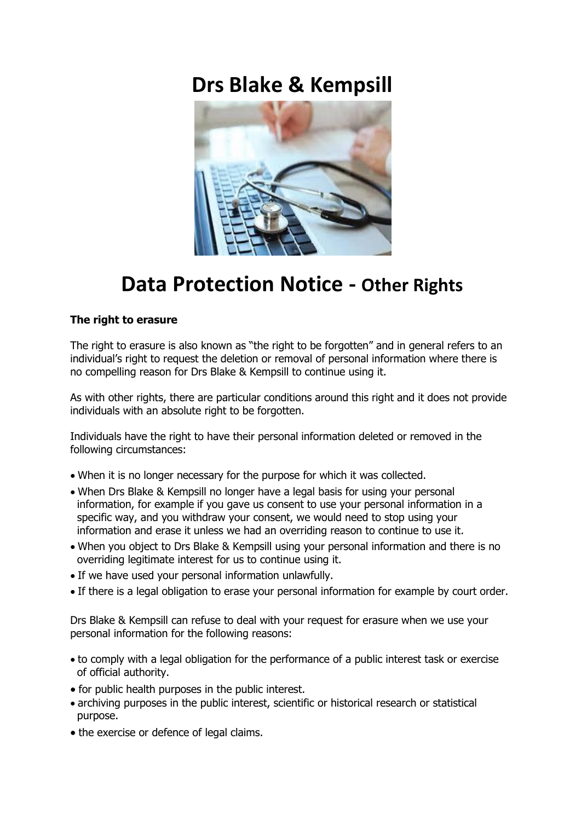# **Drs Blake & Kempsill**



# **Data Protection Notice - Other Rights**

# **The right to erasure**

The right to erasure is also known as "the right to be forgotten" and in general refers to an individual's right to request the deletion or removal of personal information where there is no compelling reason for Drs Blake & Kempsill to continue using it.

As with other rights, there are particular conditions around this right and it does not provide individuals with an absolute right to be forgotten.

Individuals have the right to have their personal information deleted or removed in the following circumstances:

- When it is no longer necessary for the purpose for which it was collected.
- When Drs Blake & Kempsill no longer have a legal basis for using your personal information, for example if you gave us consent to use your personal information in a specific way, and you withdraw your consent, we would need to stop using your information and erase it unless we had an overriding reason to continue to use it.
- When you object to Drs Blake & Kempsill using your personal information and there is no overriding legitimate interest for us to continue using it.
- If we have used your personal information unlawfully.
- If there is a legal obligation to erase your personal information for example by court order.

Drs Blake & Kempsill can refuse to deal with your request for erasure when we use your personal information for the following reasons:

- to comply with a legal obligation for the performance of a public interest task or exercise of official authority.
- for public health purposes in the public interest.
- archiving purposes in the public interest, scientific or historical research or statistical purpose.
- the exercise or defence of legal claims.